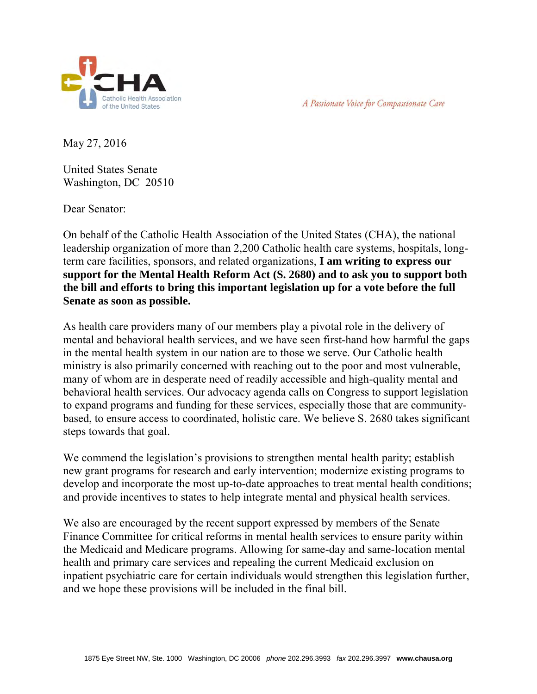



May 27, 2016

United States Senate Washington, DC 20510

Dear Senator:

On behalf of the Catholic Health Association of the United States (CHA), the national leadership organization of more than 2,200 Catholic health care systems, hospitals, longterm care facilities, sponsors, and related organizations, **I am writing to express our support for the Mental Health Reform Act (S. 2680) and to ask you to support both the bill and efforts to bring this important legislation up for a vote before the full Senate as soon as possible.** 

As health care providers many of our members play a pivotal role in the delivery of mental and behavioral health services, and we have seen first-hand how harmful the gaps in the mental health system in our nation are to those we serve. Our Catholic health ministry is also primarily concerned with reaching out to the poor and most vulnerable, many of whom are in desperate need of readily accessible and high-quality mental and behavioral health services. Our advocacy agenda calls on Congress to support legislation to expand programs and funding for these services, especially those that are communitybased, to ensure access to coordinated, holistic care. We believe S. 2680 takes significant steps towards that goal.

We commend the legislation's provisions to strengthen mental health parity; establish new grant programs for research and early intervention; modernize existing programs to develop and incorporate the most up-to-date approaches to treat mental health conditions; and provide incentives to states to help integrate mental and physical health services.

We also are encouraged by the recent support expressed by members of the Senate Finance Committee for critical reforms in mental health services to ensure parity within the Medicaid and Medicare programs. Allowing for same-day and same-location mental health and primary care services and repealing the current Medicaid exclusion on inpatient psychiatric care for certain individuals would strengthen this legislation further, and we hope these provisions will be included in the final bill.